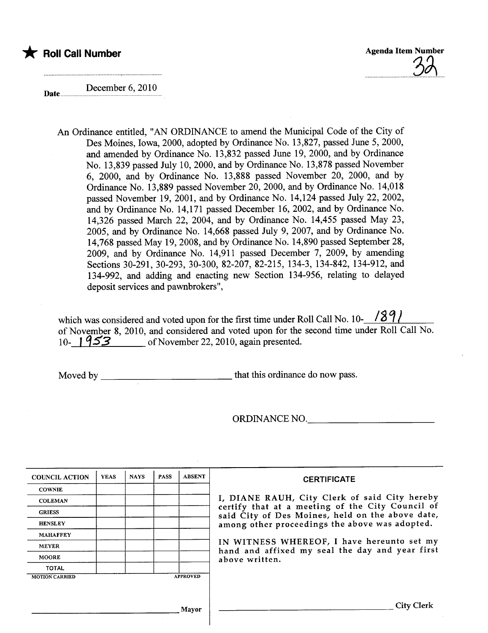



December 6, 2010 Date.....

> An Ordinance entitled, "AN ORDINANCE to amend the Municipal Code of the City of Des Moines, Iowa, 2000, adopted by Ordinance No. 13,827, passed June 5, 2000, and amended by Ordinance No. 13,832 passed June 19,2000, and by Ordinance No. 13,839 passed July 10,2000, and by Ordinance No. 13,878 passed November 6, 2000, and by Ordinance No. 13,888 passed November 20, 2000, and by Ordinance No. 13,889 passed November 20,2000, and by Ordinance No. 14,018 passed November 19, 2001, and by Ordinance No. 14,124 passed July 22, 2002, and by Ordinance No. 14,171 passed December 16,2002, and by Ordinance No. 14,326 passed March 22, 2004, and by Ordinance No. 14,455 passed May 23, 2005, and by Ordinance No. 14,668 passed July 9, 2007, and by Ordinance No. 14,768 passed May 19,2008, and by Ordinance No. 14,890 passed September 28, 2009, and by Ordinance No. 14,911 passed December 7, 2009, by amending Sections 30-291, 30-293, 30-300, 82-207, 82-215, 134-3, 134-842, 134-912, and 134-992, and adding and enacting new Section 134-956, relating to delayed deposit services and pawnbrokers",

which was considered and voted upon for the first time under Roll Call No. 10- $\frac{89}{ }$ of November 8, 2010, and considered and voted upon for the second time under Roll Call No. 10-1953 of November 22, 2010, again presented.

Moved by that this ordinance do now pass.

ORDINANCE NO.

| <b>COUNCIL ACTION</b> | <b>YEAS</b> | <b>NAYS</b> | <b>PASS</b> | <b>ABSENT</b>   | <b>CERTIFICATE</b>                                                                                   |
|-----------------------|-------------|-------------|-------------|-----------------|------------------------------------------------------------------------------------------------------|
| <b>COWNIE</b>         |             |             |             |                 |                                                                                                      |
| <b>COLEMAN</b>        |             |             |             |                 | I, DIANE RAUH, City Clerk of said City hereby                                                        |
| <b>GRIESS</b>         |             |             |             |                 | certify that at a meeting of the City Council of<br>said City of Des Moines, held on the above date, |
| <b>HENSLEY</b>        |             |             |             |                 | among other proceedings the above was adopted.                                                       |
| <b>MAHAFFEY</b>       |             |             |             |                 |                                                                                                      |
| <b>MEYER</b>          |             |             |             |                 | IN WITNESS WHEREOF, I have hereunto set my<br>hand and affixed my seal the day and year first        |
| <b>MOORE</b>          |             |             |             |                 | above written.                                                                                       |
| <b>TOTAL</b>          |             |             |             |                 |                                                                                                      |
| <b>MOTION CARRIED</b> |             |             |             | <b>APPROVED</b> |                                                                                                      |
|                       |             |             |             |                 |                                                                                                      |
|                       |             |             |             | Mayor           | City                                                                                                 |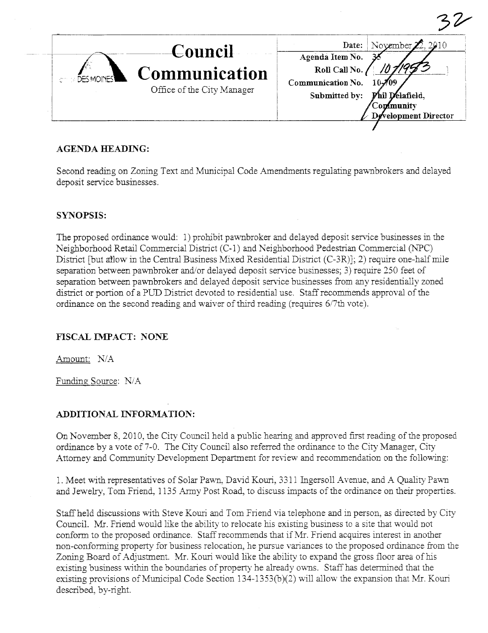| Council<br>Communication<br><b>DES MOINES</b><br>Office of the City Manager | November $\mathbb{Z}$ , 2010<br>Date:<br>Agenda Item No.<br>Roll Call No.<br>Communication No.<br>Submitted by:<br>'hil Delafield,<br><b>Continuality</b><br>Development Director |
|-----------------------------------------------------------------------------|-----------------------------------------------------------------------------------------------------------------------------------------------------------------------------------|

# AGENDA HEADING:

Second reading on Zoning Text and Municipal Code Amendments regulating pawnbrokers and delayed deposit service businesses.

# SYNOPSIS:

The proposed ordinance would: 1) prohibit pawnbroker and delayed deposit service businesses in the Neighborhood Retail Commercial District (C-1) and Neighborhood Pedestrian Commercial (NPC) District [but allow in the Central Business Mixed Residential District (C-3R)]; 2) require one-half mile separation between pawnbroker and/or delayed deposit service businesses; 3) requie 250 feet of separation between pawnbrokers and delayed deposit service businesses from any residentially zoned district or portion of a PUD District devoted to residential use. Staff recommends approval of the ordinance on the second reading and waiver of third reading (requires 6/7th vote).

# FISCAL IMPACT: NONE

Amount: N/A

Funding Source: N/A

# ADDITIONAL INFORMATION:

On November 8, 2010, the City Council held a public hearing and approved first reading of the proposed ordinance by a vote of 7-0. The City Council also referred the ordinance to the City Manager, City Attorney and Community Development Department for review and recommendation on the following:

1. Meet with representatives of Solar Pawn, David Kouri, 3311 Ingersoll Avenue, and A Quality Pawn and Jewelry, Tom Friend, 1135 Army Post Road, to discuss impacts of the ordinance on their properties.

Staff held discussions with Steve Kouri and Tom Friend via telephone and in person, as directed by City CounciL. Mr. Friend would like the ability to relocate his existing business to a site that would not conform to the proposed ordinance. Staff recommends that if Mr. Friend acquires interest in another non-conforming property for business relocation, he pursue variances to the proposed ordinance from the Zoning Board of Adjustment. Mr. Kouri would like the ability to expand the gross floor area of his existing business within the boundaries of property he already owns. Staff has determined that the existing provisions of Municipal Code Section  $134-1353(b)(2)$  will allow the expansion that Mr. Kouri described, by-right.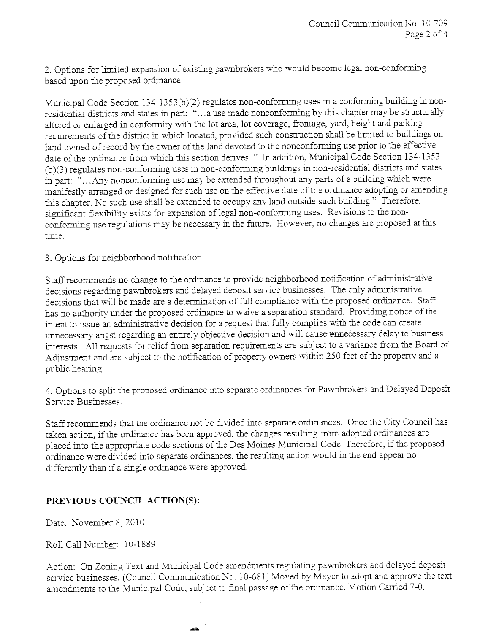2. Options for limited expansion of existing pawnbrokers who would become legal non-conforming based upon the proposed ordinance.

Municipal Code Section 134-1353(b)(2) regulates non-conforming uses in a conforming building in nonresidential districts and states in part: "...a use made nonconforming by this chapter may be structurally altered or enlarged in conformity with the lot area, lot coverage, frontage, yard, height and parking requirements of the district in which located, provided such construction shall be limited to buildings on land owned of record by the owner of the land devoted to the nonconforming use prior to the effective date of the ordinance from which this section derives.." In addition, Municipal Code Section 134-1353 (b)(3) regulates non-conforming uses in non-conforming buildings in non-residential districts and states in part: "...Any nonconforming use may be extended throughout any parts of a building which were manifestly arranged or designed for such use on the effective date of the ordinance adopting or amending this chapter. No such use shall be extended to occupy any land outside such building." Therefore, significant flexibility exists for expansion of legal non-conforming uses. Revisions to the nonconforming use regulations may be necessary in the future. However, no changes are proposed at this time.

3. Options for neighborhood notification.

Staff recommends no change to the ordinance to provide neighborhood notification of administrative decisions regarding pawnbrokers and delayed deposit service businesses. The only administrative decisions that will be made are a determination of full compliance with the proposed ordinance. Staff has no authority under the proposed ordinance to waive a separation standard. Providing notice of the intent to issue an administrative decision for a request that fully complies with the code can create unnecessary angst regarding an entirely objective decision and will cause unnecessary delay to business interests. All requests for relief from separation requirements are subject to a variance from the Board of Adjustment and are subject to the notification of property owners within 250 feet of the property and a public hearing.

4. Options to split the proposed ordinance into separate ordinances for Pawnbrokers and Delayed Deposit Service Businesses.

Staff recommends that the ordinance not be divided into separate ordinances. Once the City Council has taken action, if the ordinance has been approved, the changes resulting from adopted ordinances are placed into the appropriate code sections of the Des Moines Municipal Code. Therefore, if the proposed ordiance were divided into separate ordiances, the resulting action would in the end appear no differently than if a single ordinance were approved.

# PREVIOUS COUNCIL ACTION(S):

Date: November 8, 2010

Roll Call Number: 10-1889

Action: On Zoning Text and Municipal Code amendments regulating pawnbrokers and delayed deposit service businesses. (Council Communication No. 10-681) Moved by Meyer to adopt and approve the text amendments to the Municipal Code, subject to final passage of the ordinance. Motion Carried 7-0.

.--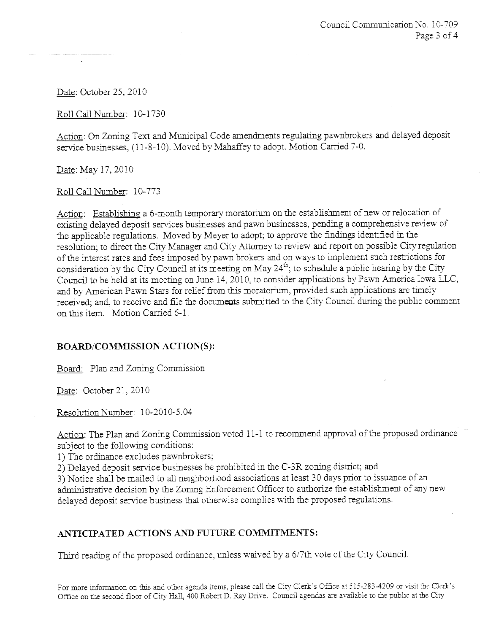Date: October 25, 2010

Roll Call Number: 10-1730

Action: On Zoning Text and Municipal Code amendments regulating pawnbrokers and delayed deposit service businesses, (11-8-10). Moved by Mahaffey to adopt. Motion Carried 7-0.

Date: May 17, 2010

Roll Call Number: 10-773

Action: Establishing a 6-month temporary moratorium on the establishment of new or relocation of existing delayed deposit services businesses and pawn businesses, pending a comprehensive review of the applicable regulations. Moved by Meyer to adopt; to approve the fidings identified in the resolution; to direct the City Manager and City Attorney to review and report on possible City regulation of the interest rates and fees imposed by pawn brokers and on ways to implement such restrictions for consideration by the City Council at its meeting on May 24<sup>th</sup>; to schedule a public hearing by the City Council to be held at its meeting on June 14, 2010, to consider applications by Pawn America Iowa LLC, and by American Pawn Stars for relief from this moratorium, provided such applications are timely received; and, to receive and file the documents submitted to the City Council during the public comment on this item. Motion Carried 6-1.

# BOARD/COMMISSION ACTION(S):

Board: Plan and Zoning Commission

Date: October 21, 2010

Resolution Number: 10-20l0-5.04

Action: The Plan and Zoning Commission voted 11-1 to recommend approval of the proposed ordinance subject to the following conditions:

l) The ordiance excludes pawnbrokers;

2) Delayed deposit service businesses be prohibited in the C-3R zoning district; and

3) Notice shall be mailed to all neighborhood associations at least 30 days prior to issuance of an administrative decision by the Zoning Enforcement Officer to authorize the establishment of any new delayed deposit service business that otherwise complies with the proposed regulations.

# ANTICIPATED ACTIONS AND FUTURE COMMITMENTS:

Third reading of the proposed ordinance, unless waived by a 6/7th vote of the City Council.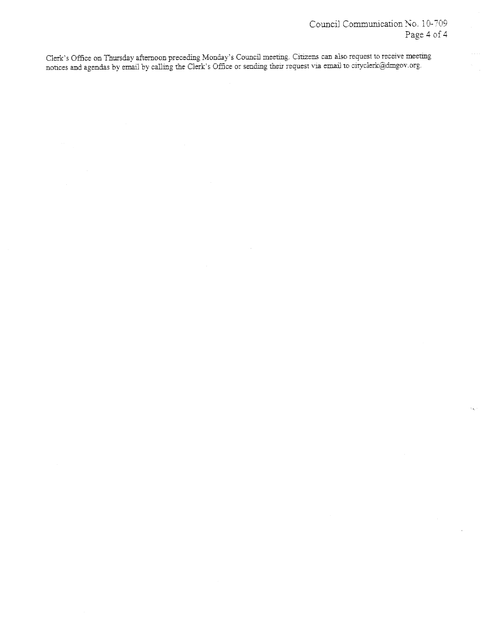άú.

Clerk's Office on Thursday afternoon preceding Monday's Council meeting. Citizens can also request to receive meeting<br>notices and agendas by email by calling the Clerk's Office or sending their request via email to citycle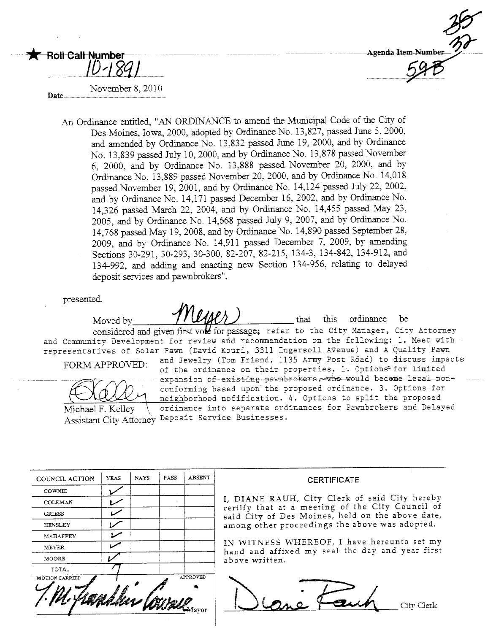

# $\frac{1}{1}$

Date..n.n.n..........................................~...................

 $\bigstar$  - Roll-Call-Number

November 8. 2010

An Ordinance entitled. "AN ORDINANCE to amend the Municipal Code of the City of Des Moines, Iowa, 2000, adopted by Ordinance No. 13,827, passed June 5, 2000, and amended by Ordinance No. 13,832 passed June 19, 2000, and by Ordinance No. 13,839 passed July 10, 2000, and by Ordinance No. 13,878 passed November 6, 2000, and by Ordiance No. 13,888 passed November 20, 2000, and by Ordinance No. 13,889 passed November 20, 2000, and by Ordinance No. 14,018 passed November 19, 2001, and by Ordinance No. 14,124 passed July 22, 2002, and by Ordinance No. 14,171 passed December 16, 2002, and by Ordinance No. 14,326 passed March 22, 2004, and by Ordiance No. l4,455 passed May 23, 2005, and by Ordinance No. 14,668 passed July 9, 2007, and by Ordinance No. 14,768 passed May 19, 2008, and by Ordinance No. 14,890 passed September 28, 2009, and by Ordiance No. 14,911 passed December 7, 2009, by amendig Sections 30-29l, 30-293, 30-300, 82-207, 82-215, 134-3, 134-842, 134-9l2, and 134-992, and adding and enacting new Section 134-956, relating to delayed deposit services and pawnbrokers",

presented.

Moved by  $\mathcal{M}_{\ell}(\ell)$  that this ordinance be considered and given first volt for passage; refer to the City Manager, City Attorney and Community Development for review and recommendation on the following: 1. Meet with representatives of Solar Pawn (David Kouri, 3311 Ingersoll Avenue) and A Quality Pawn<br>
FORM (APPOVER) and Jewelry (Tom Friend, 1135 Army Post Road) to discuss impacts

FORlvl APPROVED: and Jewelry (Tom Friend, 1135 Army Post Róad) to .discuss impacts of the ordinance on their properties. .=. Options'" for limited conforming based upon the proposed ordinance. 3. Options for (WWW) neighborhood nofification. 4. Options to split the proposed<br>Michael F. Kelley \ ordinance into separate ordinances for Pawnbrokers and Delay ordinance into separate ordinances for Pawnbrokers and Delayed

Assistant City Attorney Deposit Service Businesses.

| COUNCIL ACTION  | <b>YEAS</b> | <b>NAYS</b> | PASS | <b>ABSENT</b>     |
|-----------------|-------------|-------------|------|-------------------|
| COWNIE          |             |             |      |                   |
| <b>COLEMAN</b>  |             |             |      |                   |
| <b>GRIESS</b>   |             |             |      |                   |
| <b>HENSLEY</b>  |             |             |      |                   |
| <b>MAHAFFEY</b> |             |             |      |                   |
| MEYER           |             |             |      |                   |
| MOORE           |             |             |      |                   |
| <b>TOTAL</b>    |             |             |      |                   |
| MOTION CARRIED  |             |             |      | APPROVED<br>Aavor |

#### **CERTIFICATE**

I, DIANE RAUH, City Clerk of said City hereby certify that at a meeting of the City Council of said City of Des Moines, held on the above date, among other proceedings the above was adopted.

IN WITNESS WHEREOF, I have hereunto set my hand and affixed my seal the day and year first above written.

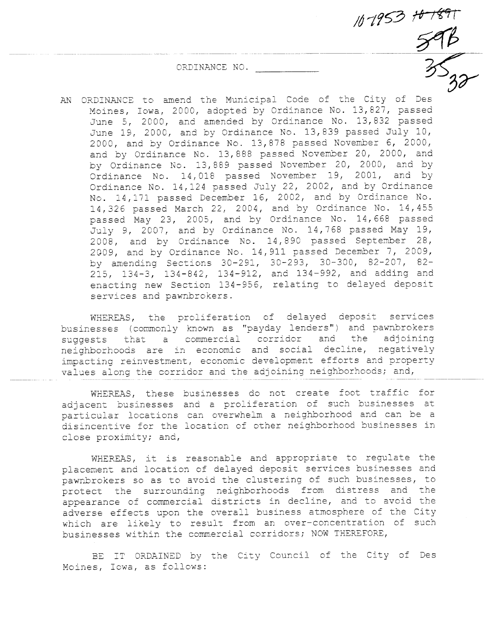ORDINANCE NO.

--~----- K---- 8r AN ORDINANCE to amend the Municipal Code of the City of Des Moines, Iowa, 2000, adopted by Ordinance No. 13,827, passed June 5, 2000, and amended by Ordinance No. 13,832 passed June 19, 2000, and by Ordinance No. 13,839 passed July 10, 2000, and by Ordinance No. 13,878 passed November 6, 2000, and by Ordinance No. 13,888 passed November 20, 2000, and by Ordinance No. 13,889 passed November 20, 2000, and by Ordinance No. 14,018 passed November 19, 2001, and by Ordinance No. 14,124 passed July 22, 2002, and by Ordinance No. 14,171 passed December 16, 2002, and by Ordinance No. 14,326 passed March 22, 2004, and by Ordinance No. 14,455 passed May 23, 2005, and by Ordinance No. 14,668 passed July 9, 2007, and by Ordinance No. 14,768 passed May 19, 2008, and by Ordinance No. 14,890 passed September 28, 2G09, and by Ordinance No. 14,911 passed December 7, 2009, by amending Sections 30-291, 30-293, 30-300, 82-207, 82- 215, 134-3, 134-842, 134-912, and 134-992, and adding and enacting new Section 134-956, relating to delayed deposit services and pawnbrokers.

 $10 - 1953 + 6 - 1897$ 

WHEREAS, the proliferation of delayed deposit services businesses (commonly known as "payday lenders") and pawnbrokers<br>suggests that a commercial corridor and the adjoining neighborhoods are in economic and social decline, negatively impacting reinvestment, economic development efforts and property values along the corridor and the adjoining neighborhoods; and,

WHEREAS, these businesses do not create foot traffic for adjacent businesses and a proliferation of such businesses at particular locations can overwhelm a neighborhood and can be a disincentive for the location of other neighborhood businesses in close proximity; and,

WHEREAS, it is reasonable and appropriate to regulate the placement and location of delayed deposit services businesses and pawnbrokers so as to avoid the clustering of such businesses, to protect the surrounding neighborhoods from distress and the appearance of commercial districts in decline, and to avoid the adverse effects upon the overall business atmosphere of the City which are likely to result from an over-concentration of such businesses wi thin the commercial corridors; NOW THEREFORE,

BE IT ORDAINED by the City Council of the City of Des Moines, Iowa, as follows: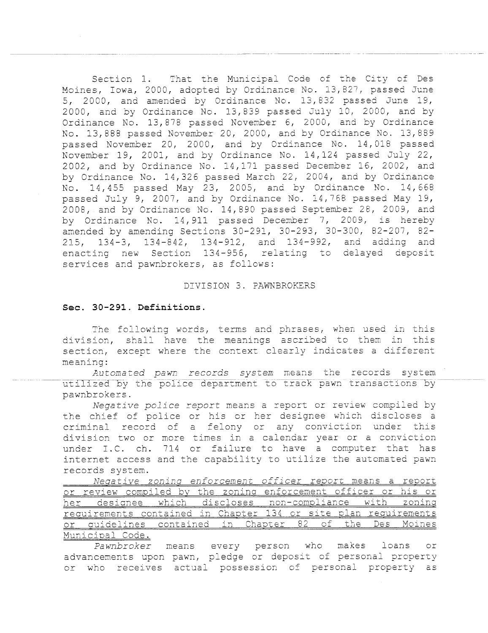Section 1. That the Municipal Code of the City of Des Moines, Iowa, 2000, adopted by Ordinance No. 13,827, passed June 5, 2000, and amended by Ordinance No. 13,832 passed June 19, 2000, and by Ordinance No. 13,839 passed July 10, 2000, and by Ordinance No. 13,878 passed November 6, 2000, and by Ordinance No. 13,888 passed November 20, 2000, and by Ordinance No. 13,889 passed November 20, 2000, and by Ordinance No. 14,018 passed November 19, 2001, and by Ordinance No. 14,124 passed July 22, 2002, and by Ordinance No. 14,171 passed December 16, 2002, and by Ordinance No. 14,326 passed March 22, 2004, and by Ordinance No. 14,455 passed May 23, 2005, and by Ordinance No. 14,668 passed July 9, 2007, and by Ordinance No. 14,768 passed May 19, 2008, and by Ordinance No. 14,890 passed September 28, 2009, and by Ordinance No. 14,911 passed December 7, 2009, is hereby amended by amending Sections 30-291, 30-293, 30-300, 82-207, 82- 215, 134-3, 134-842, 134-912, and 134-992, and adding and enacting new Section 134-956, relating to delayed deposit services and pawnbrokers, as follows:

#### DIVISION 3. PAWNBROKERS

## Sec. 30-291. Definitions.

The following words, terms and phrases, when used in this division, shall have the meanings ascribed to them in this section, except where the context clearly indicates a different meaning:

Automated pawn records system means the records system utilized by the police department to track pawn transactions by pawnbrokers.

Negative police report means a report or review compiled by the chief of police or his or her designee which discloses a criminal record of a felony or any conviction under this division two or more times in a calendar year or a conviction under I.C. ch. 714 or failure to have a computer that has internet access and the capability to utilize the automated pawn records system.

Negative zoning enforcement officer report means a report or review compiled by the zoning enforcement officer or his or her designee which discloses non-compliance with zoning requirements contained in Chapter 134 or site plan requirements or auidelines contained in Chapter 82 of the Des Moines Municipal Code.

<u>-par voac:</u><br>*Pawnbroker* means every person who makes loans or advancements upon pawn, pledge or deposit of personal properLY acture mente apen panny parago of mapped as in the property as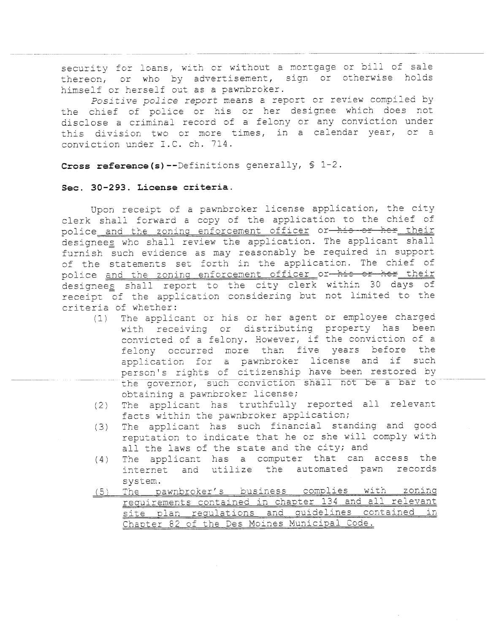security for loans, with or without a mortgage or bill of sale thereon, or who by advertisement, sign or otherwise holds himself or herself out as a pawnbroker.

Positive police report means a report or review compiled by the chief of police or his or her designee which does not disclose a criminal record of a felony or any conviction under this division two or more times, in a calendar year, or a conviction under I.C. ch. 714.

Cross reference(s)--Definitions generally, § 1-2.

## Sec. 30-293. License criteria.

Upon receipt of a pawnbroker license application, the city clerk shall forward a copy of the application to the chief of police and the zoning enforcement officer or his or her their designees who shall review the application. The applicant shall furnish such evidence as may reasonably be required in support of the statements set forth in the application. The chief of police and the zoning enforcement officer or his or her their designees shall report to the city clerk within 30 days of receipt of the application considering but not limited to the criteria of whether:

- (1) The applicant or his or her agent or employee charged with receiving or distributing property has been convicted of a felony. However, if the conviction of a felony occurred more than five years before the application for a pawnbroker license and if such person's rights of citizenship have been restored by the governor, such conviction shall not be a bar to obtaining a pawnbroker license;
- (2) The applicant has truthfully reported all relevant facts within the pawnbroker application;
- (3) The applicant has such financial standing and good reputation to indicate that he or she will comply with all the laws of the state and the city; and
- (4) The applicant has a computer that can access the<br>internet and utilize the automated pawn records and utilize the automated pawn records system.
- (5) The pawnbroker's business complies with zoning requirements contained in chapter 134 and all relevant site plan requlations and guidelines contained in Chapter 82 of the Des Moines Municipal Code.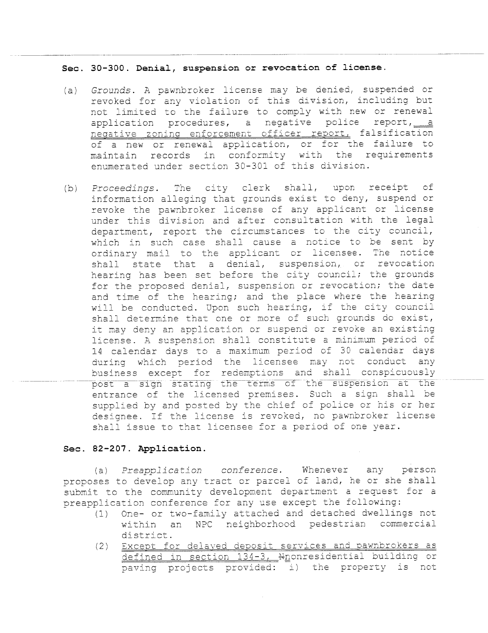Sec. 30-300. Denial, suspension or revocation of license.

- (a) Grounds. A pawnbroker license may be denied, suspended or revoked for any violation of this division, including but not limited to the failure to comply with new or renewal application procedures, a negative police report,  $\frac{a}{a}$  negative zoning enforcement officer report, falsification of a new or renewal application, or for the failure to maintain records in conformity with the requirements enumerated under section 30-301 of this division.
- (b) Proceedings. The city clerk shall, upon receipt of information alleging that grounds exist to deny, suspend or revoke the pawnbroker license of any applicant or license under this division and after consultation with the legal department, report the circumstances to the city council, which in such case shall cause a notice to be sent by ordinary mail to the applicant or licensee. The notice shall state that a denial, suspension, or revocation hearing has been set before the city council; the grounds for the proposed denial, suspension or revocation; the date and time of the hearing; and the place where the hearing will be conducted. Upon such hearing, if the city council shall determine that one or more of such grounds do exist, it may deny an application or suspend or revoke an existing license. A suspension shall constitute a minimum period of 14 calendar days to a maximum period of 30 calendar days during which period the licensee may not conduct any business except for redemptions and shall conspicuously<br>post a sign stating the terms of the suspension at the entrance of the licensed premises. Such a sign shall be supplied by and posted by the chief of police or his or her designee. If the license is revoked, no pawnbroker license shall issue to that licensee for a period of one year.

## Sec. 82-207. Application.

(a) Preapplication conference. Whenever any person proposes to develop any tract or parcel of land, he or she shall submit to the community development department a request for a preapplication conference for any use except the following:

- (1) One- or two-family attached and detached dwellings not within an NPC neighborhood pedestrian commercial<br>district.
- (2) Except for delayed deposit services and pawnbrokers as defined in section 134-3, N<sub>nonresidential</sub> building or paving projects provided: i) the property is not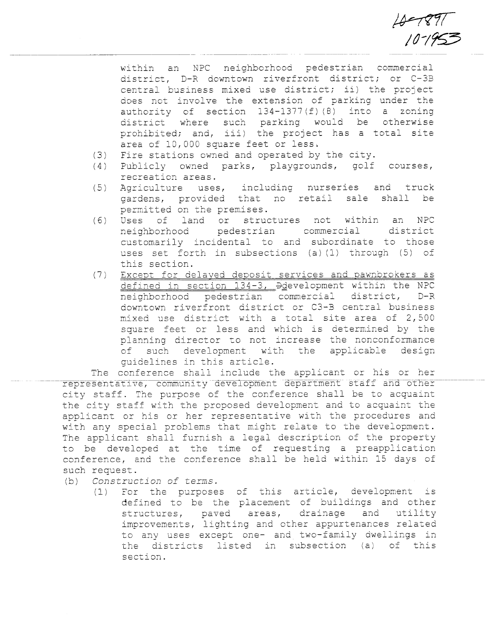$18 - 1897$ 

an NPC neighborhood pedestrian commercial within district, D-R downtown riverfront district; or C-3B central business mixed use district; ii) the project does not involve the extension of parking under the authority of section  $134-1377(f)(8)$  into a zoning such parking would be otherwise district where prohibited; and, iii) the project has a total site area of 10,000 square feet or less.

- Fire stations owned and operated by the city.  $(3)$
- $(4)$ Publicly owned parks, playgrounds, golf courses, recreation areas.
- Agriculture uses, including nurseries and truck  $(5)$ gardens, provided that no retail sale shall be permitted on the premises.
- an  $(6)$ Uses of land or structures not within **NPC** commercial neighborhood pedestrian district customarily incidental to and subordinate to those uses set forth in subsections (a)(1) through (5) of this section.
- Except for delayed deposit services and pawnbrokers as  $(7)$ defined in section 134-3, Ddevelopment within the NPC neighborhood pedestrian commercial district,  $D-R$ downtown riverfront district or C3-B central business mixed use district with a total site area of 2,500 square feet or less and which is determined by the planning director to not increase the nonconformance of such development with the applicable design quidelines in this article.

The conference shall include the applicant or his or her representative, community development department staff and other city staff. The purpose of the conference shall be to acquaint the city staff with the proposed development and to acquaint the applicant or his or her representative with the procedures and with any special problems that might relate to the development. The applicant shall furnish a legal description of the property to be developed at the time of requesting a preapplication conference, and the conference shall be held within 15 days of such request.

- Construction of terms.  $(b)$ 
	- For the purposes of this article, development is  $(1)$ defined to be the placement of buildings and other structures, paved areas, drainage and utility improvements, lighting and other appurtenances related to any uses except one- and two-family dwellings in the districts listed in subsection (a) of this section.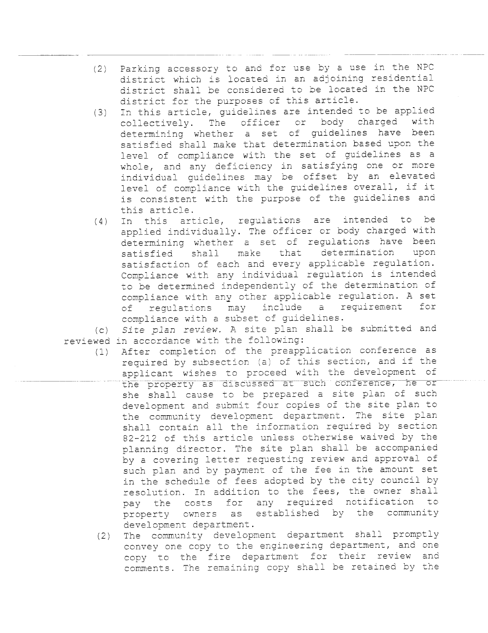- $(2)$ Parking accessory to and for use by a use in the NPC district which is located in an adjoining residential district shall be considered to be located in the NPC district for the purposes of this article.
- $(3)$ In this article, guidelines are intended to be applied<br>collectively. The officer or body charged with collectively. The officer or determining whether a set of guidelines have been satisfied shall make that determination based upon the level of compliance with the set of guidelines as a whole, and any deficiency in satisfying one or more individual quidelines may be offset by an elevated level of compliance with the guidelines overall, if it is consistent with the purpose of the guidelines and this article.
- $(4)$ In this article, regulations are intended to be applied individually. The officer or body charged with determining whether a set of regulations have been<br>satisfied shall make that determination upon satisfied shall make that determination satisfaction of each and every applicable regulation. Compliance with any individual regulation is intended to be determined independently of the determination of compliance with any other applicable regulation. A set<br>of regulations may include a requirement for of regulations may include compliance with a subset of guidelines.

 $(C)$ reviewed in accordance with the following: Site plan review. A site plan shall be submitted and

- $(1)$ After completion of the preapplication conference as required by subsection (a) of this section, and if the applicant wlshes to proceed with the development of the property as discussed at such conference, he or she shall cause to be prepared a site plan of such development and submit four copies of the site plan to the community development department. The site plan shall contain all the information required by section 82-212 of this article unless otherwise waived by the planning director. The site plan shall be accompanied by a covering letter requesting review and approval of such plan and by payment of the fee in the amount set in the schedule of fees adopted by the city council by<br>resolution. In addition to the fees, the owner shall pay the costs for any required notification to property owners as established by the community development department.
- $(2)$ The community development department shall promptly convey one copy to the engineering department, and one copy to the fire department for their review and comments. The remaining copy shall be retained by the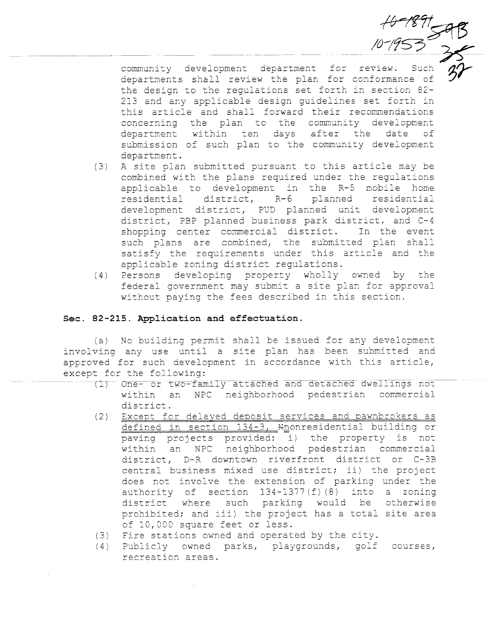community development department for review. Such departments shall review the plan for conformance of the design to the regulations set forth in section 82-213 and any applicable design quidelines set forth in this article and shall forward their recommendations concerning the plan to the community development department within ten days after the date of submission of such plan to the community development department.

 $70^{10}$ 

- A site plan submitted pursuant to this article may be  $(3)$ combined with the plans required under the regulations applicable to development in the R-5 mobile home residential district, R-6 planned residential development district, PUD planned unit development district, PBP planned business park district, and C-4 shopping center commercial district. In the event such plans are combined, the submitted plan shall satisfy the requirements under this article and the applicable zoning district regulations.
- (4) Persons developing property wholly owned by the federal government may submit a site plan for approval without paying the fees described in this section.

## Sec. 82-215. Application and effectuation.

(a) No building permit shall be issued for any development involving any use until a site plan has been submitted and approved for such development in accordance with this article, except for the following:

- (1) One- or two-family attached and detached dwellings not within an NPC neighborhood pedestrian commercial district.
- Except for delayed deposit services and pawnbrokers as  $(2)$ defined in section 134-3, Mnonresidential building or paving projects provided: i) the property is not within an NPC neighborhood pedestrian commercial district, D-R downtown riverfront district or C-3B central business mixed use district; ii) the project does not involve the extension of parking under the authority of section 134-1377(f)(8) into a zoning district where such parking would be otherwise prohibited; and iii) the project has a total site area of 10,000 square feet or less.
- (3) Fire stations owned and operated by the city.
- (4) Publicly owned parks, playgrounds, golf courses, recreation areas.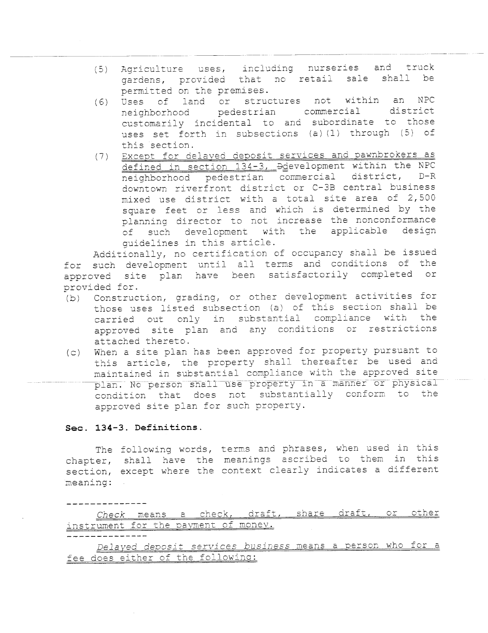(5) Agriculture uses, including nurseries and truck<br>
sardens provided that no retail sale shall be gardens, provided that no retail sale shall permitted on the premises.

----------\_.~-\_.--- -----\_..\_---\_.\_---\_.. \_....\_------\_..\_--\_..-.\_--- -\_.\_---\_.

- (6) Uses of land or structures not wi thin an NPC neighborhood pedestrian commercial district customarily incidental to and subordinate to those uses set forth in subsections (a) (1) through (5) of this section.
- (7) Except for delayed deposit services and pawnbrokers as defined in section 134-3,  $\frac{1}{2}$   $\frac{1}{2}$   $\frac{1}{2}$   $\frac{1}{2}$   $\frac{1}{2}$   $\frac{1}{2}$   $\frac{1}{2}$   $\frac{1}{2}$   $\frac{1}{2}$   $\frac{1}{2}$   $\frac{1}{2}$   $\frac{1}{2}$   $\frac{1}{2}$   $\frac{1}{2}$   $\frac{1}{2}$   $\frac{1}{2}$   $\frac{1}{2}$   $\frac{1}{2}$   $\frac{1}{2}$   $\frac{1}{$ neighborhood pedestrian commercial district, downtown riverfront district or C-3B central business mixed use district with a total site area of 2,500 square feet or less and which is determined by the<br>planning director to not increase the nonconformance of such development with the applicable design guidelines in this article.

Additionally, no certification of occupancy shall be issued<br>for such development until all terms and conditions of the approved site plan have been satisfactorily completed or provided for.

- (b) Construction, grading, or other development activities for those uses listed subsection (a) of this section shall be carried out only in substantial compliance with the approved site plan and any conditions or restrictions attached thereto.
- (c) When a site plan has been approved for property pursuant to this article, the property shall thereafter be used and maintained in substantial compliance with the approved site plan. No person shall use property in a manner or physical condition that does not substantially conform to the approved site plan for such property.

## Sec. 134-3. Definitions.

The following words, terms and phrases, when used The following words, terms and phrases, when used in this<br>chapter, shall have the meanings ascribed to them in this section, except where the context clearly indicates a different meaning:

Check means a check, draft, share draft, or other instrument for the payment of money.

Delayed deposit services business means a person who for a fee does either of the foliowino: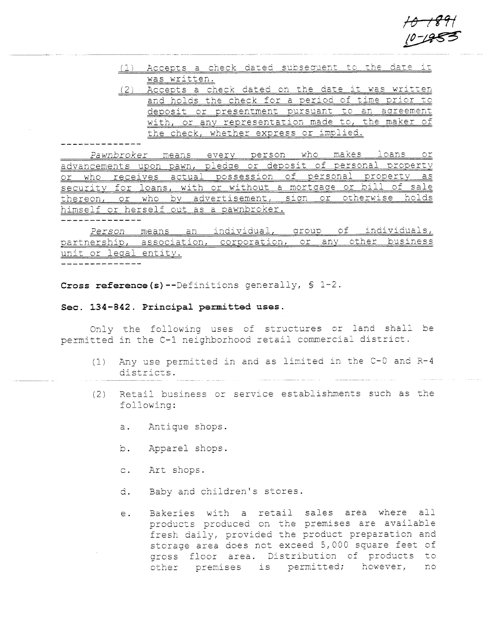<del>10 1891</del>  $+0$  +<br> $+0$  -19

- (1) Accepts a check dated subsequent to the date it was written.
- $(2)$  Accepts a check dated on the date it was written and holds the check for a period of time prior to deposit or presentment pursuant to an agreement with, or any representation made to, the maker of the check, whether express or implied.

Pawnbroker means every person who makes loans or advancements upon pawn, pledge or deposit of personal property or who receives actual possession of personal property as security for loans, with or without a mortgage or bill of sale thereon, or who by advertisement, sign or otherwise holds himself or herself out as a pawnbroker.

Person means an individual, group of individuals, partnership, association, corporation, or any other business unit or legal entity.

Cross reference (s) --Definitions generally,  $\int$  1-2.

## Sec. 134-842. Principal permitted uses.

Only the following uses of structures or land shall be permitted in the C-1 neighborhood retail commercial district.

- (1) Any use permitted in and as limited in the C-O and R-4 districts.
- $(2)$  Retail business or service establishments such as the following:
	- a. Antique shops.
	- b. Apparel shops.
	- c. Art shops.
	- d. Baby and children's stores.
	- e. Bakeries with a retail sales area where all products produced on the premises are available fresh daily, provided the product preparation and storage area does not exceed 5,000 square feet of gross floor area. Distribution of products to other premises is permitted; however, no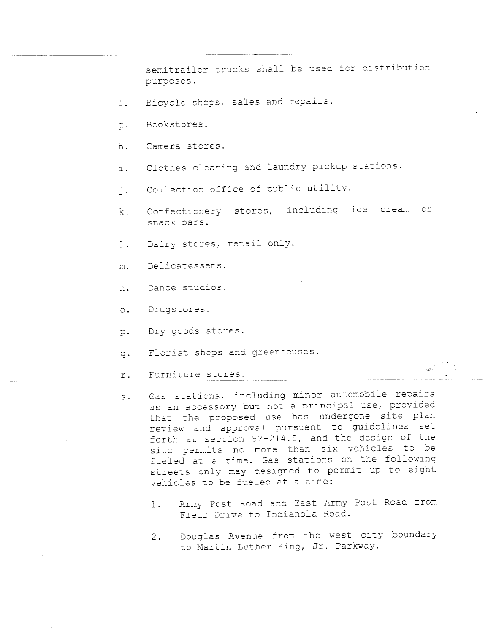semitrailer trucks shall be used for distribution purposes.

- f. Bicycle shops, sales and repairs.
- g. Bookstores.
- h. Camera stores.
- i. Clothes cleaning and laundry pickup stations.
- i. Collection office of public utility.
- k. Confectionery stores, including ice cream or snack bars.
- 1. Dairy stores, retail only.
- m. Delicatessens.
- n. Dance studios.
- o. Drugstores.
- p. Dry goods stores.
- q. Florist shops and greenhouses.
- r. Furniture stores.
- s. Gas stations, including minor automobile repairs as an accessory but not a principal use, provided that the proposed use has undergone site plan review and approval pursuant to guidelines set forth at section 82-214.8, and the design of the site permits no more than six vehicles to be fueled at a time. Gas stations on the following streets only may designed to permit up to eight vehicles to be fueled at a time:
	- 1. Army Post Road and East Army Post Road from Fleur Drive to Indianola Road.
	- 2. Douglas Avenue from the west city boundary to Martin Luther King, Jr. Parkway.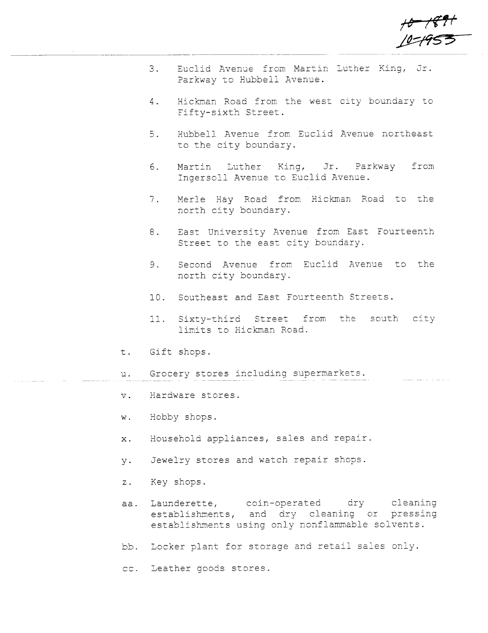+<del>0 | (29+</del><br>| 0= <del>1</del>953

alan ang panahan

- 3. Euclid Avenue from Martin Luther King, Jr. Parkway to Hubbell Avenue.
- 4. Hickman Road from the west city boundary to Fifty-sixth Street.
- 5. Hubbell Avenue from Euclid Avenue northeast to the city boundary.
- 6. Martin Luther King, Jr. Parkway Ingersoll Avenue to Euclid Avenue. from
- 7. Merle Hay Road from Hickman Road to the north city boundary.
- 8. East University Avenue from East Fourteenth Street to the east city boundary.
- 9. Second Avenue from Euclid Avenue to the north city boundary.
- 10. Southeast and East Fourteenth Streets.
- 11. Sixty-third Street from the south city limits to Hickman Road.
- t. Gift shops.
- u. Grocery stores including supermarkets.
- v. Hardware stores.
- w. Hobby shops.
- x. Household appliances, sales and repair.
- y. Jewelry stores and watch repair shops.
- z. Key shops.
- aa. Launderette, coin-operated dry cleaning establishments, and dry cleaning or pressing establishments using only nonflammable solvents.
- bb. Locker plant for storage and retail sales only.
- cc. Leather goods stores.